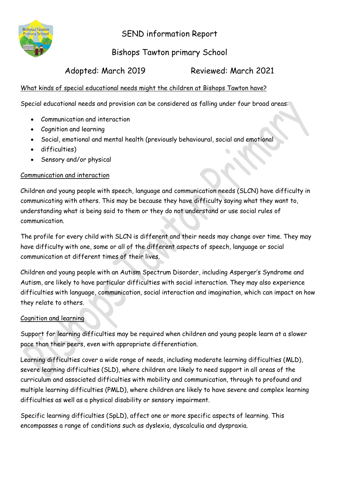

SEND information Report

# Bishops Tawton primary School

Adopted: March 2019 Reviewed: March 2021

# What kinds of special educational needs might the children at Bishops Tawton have?

Special educational needs and provision can be considered as falling under four broad areas:

- Communication and interaction
- Cognition and learning
- Social, emotional and mental health (previously behavioural, social and emotional
- difficulties)
- Sensory and/or physical

# Communication and interaction

Children and young people with speech, language and communication needs (SLCN) have difficulty in communicating with others. This may be because they have difficulty saying what they want to, understanding what is being said to them or they do not understand or use social rules of communication.

The profile for every child with SLCN is different and their needs may change over time. They may have difficulty with one, some or all of the different aspects of speech, language or social communication at different times of their lives.

Children and young people with an Autism Spectrum Disorder, including Asperger's Syndrome and Autism, are likely to have particular difficulties with social interaction. They may also experience difficulties with language, communication, social interaction and imagination, which can impact on how they relate to others.

# Cognition and learning

Support for learning difficulties may be required when children and young people learn at a slower pace than their peers, even with appropriate differentiation.

Learning difficulties cover a wide range of needs, including moderate learning difficulties (MLD), severe learning difficulties (SLD), where children are likely to need support in all areas of the curriculum and associated difficulties with mobility and communication, through to profound and multiple learning difficulties (PMLD), where children are likely to have severe and complex learning difficulties as well as a physical disability or sensory impairment.

Specific learning difficulties (SpLD), affect one or more specific aspects of learning. This encompasses a range of conditions such as dyslexia, dyscalculia and dyspraxia.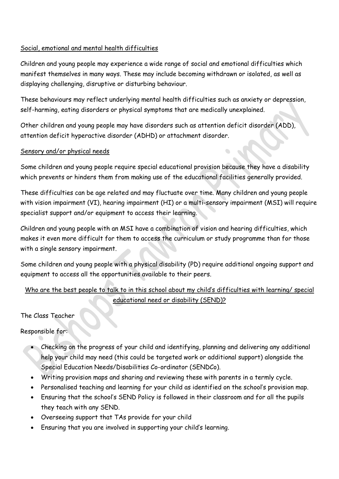## Social, emotional and mental health difficulties

Children and young people may experience a wide range of social and emotional difficulties which manifest themselves in many ways. These may include becoming withdrawn or isolated, as well as displaying challenging, disruptive or disturbing behaviour.

These behaviours may reflect underlying mental health difficulties such as anxiety or depression, self-harming, eating disorders or physical symptoms that are medically unexplained.

Other children and young people may have disorders such as attention deficit disorder (ADD), attention deficit hyperactive disorder (ADHD) or attachment disorder.

#### Sensory and/or physical needs

Some children and young people require special educational provision because they have a disability which prevents or hinders them from making use of the educational facilities generally provided.

These difficulties can be age related and may fluctuate over time. Many children and young people with vision impairment (VI), hearing impairment (HI) or a multi-sensory impairment (MSI) will require specialist support and/or equipment to access their learning.

Children and young people with an MSI have a combination of vision and hearing difficulties, which makes it even more difficult for them to access the curriculum or study programme than for those with a single sensory impairment.

Some children and young people with a physical disability (PD) require additional ongoing support and equipment to access all the opportunities available to their peers.

# Who are the best people to talk to in this school about my child's difficulties with learning/ special educational need or disability (SEND)?

The Class Teacher

Responsible for:

- Checking on the progress of your child and identifying, planning and delivering any additional help your child may need (this could be targeted work or additional support) alongside the Special Education Needs/Disabilities Co-ordinator (SENDCo).
- Writing provision maps and sharing and reviewing these with parents in a termly cycle.
- Personalised teaching and learning for your child as identified on the school's provision map.
- Ensuring that the school's SEND Policy is followed in their classroom and for all the pupils they teach with any SEND.
- Overseeing support that TAs provide for your child
- Ensuring that you are involved in supporting your child's learning.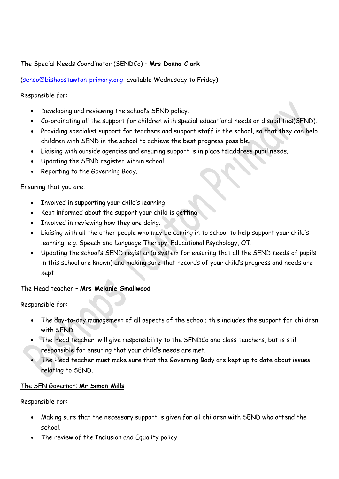## The Special Needs Coordinator (SENDCo) – **Mrs Donna Clark**

[\(senco@bishopstawton-primary.org](mailto:senco@bishopstawton-primary.org) available Wednesday to Friday)

Responsible for:

- Developing and reviewing the school's SEND policy.
- Co-ordinating all the support for children with special educational needs or disabilities(SEND).
- Providing specialist support for teachers and support staff in the school, so that they can help children with SEND in the school to achieve the best progress possible.
- Liaising with outside agencies and ensuring support is in place to address pupil needs.
- Updating the SEND register within school.
- Reporting to the Governing Body.

#### Ensuring that you are:

- Involved in supporting your child's learning
- Kept informed about the support your child is getting
- Involved in reviewing how they are doing.
- Liaising with all the other people who may be coming in to school to help support your child's learning, e.g. Speech and Language Therapy, Educational Psychology, OT.
- Updating the school's SEND register (a system for ensuring that all the SEND needs of pupils in this school are known) and making sure that records of your child's progress and needs are kept.

## The Head teacher – **Mrs Melanie Smallwood**

Responsible for:

- The day-to-day management of all aspects of the school; this includes the support for children with SEND.
- The Head teacher will give responsibility to the SENDCo and class teachers, but is still responsible for ensuring that your child's needs are met.
- The Head teacher must make sure that the Governing Body are kept up to date about issues relating to SEND.

#### The SEN Governor: **Mr Simon Mills**

Responsible for:

- Making sure that the necessary support is given for all children with SEND who attend the school.
- The review of the Inclusion and Equality policy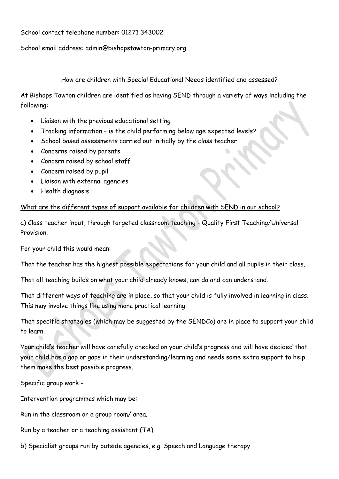School contact telephone number: 01271 343002

School email address: admin@bishopstawton-primary.org

#### How are children with Special Educational Needs identified and assessed?

At Bishops Tawton children are identified as having SEND through a variety of ways including the following:

- Liaison with the previous educational setting
- Tracking information is the child performing below age expected levels?
- School based assessments carried out initially by the class teacher
- Concerns raised by parents
- Concern raised by school staff
- Concern raised by pupil
- Liaison with external agencies
- Health diagnosis

## What are the different types of support available for children with SEND in our school?

a) Class teacher input, through targeted classroom teaching - Quality First Teaching/Universal Provision.

For your child this would mean:

That the teacher has the highest possible expectations for your child and all pupils in their class.

That all teaching builds on what your child already knows, can do and can understand.

That different ways of teaching are in place, so that your child is fully involved in learning in class. This may involve things like using more practical learning.

That specific strategies (which may be suggested by the SENDCo) are in place to support your child to learn.

Your child's teacher will have carefully checked on your child's progress and will have decided that your child has a gap or gaps in their understanding/learning and needs some extra support to help them make the best possible progress.

Specific group work -

Intervention programmes which may be:

Run in the classroom or a group room/ area.

Run by a teacher or a teaching assistant (TA).

b) Specialist groups run by outside agencies, e.g. Speech and Language therapy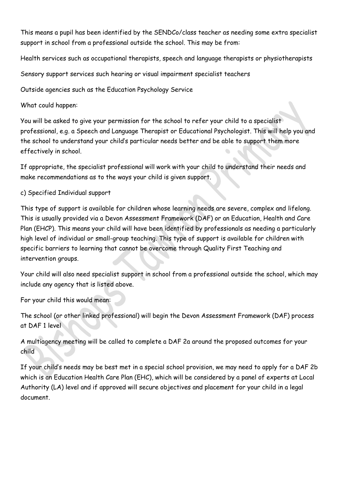This means a pupil has been identified by the SENDCo/class teacher as needing some extra specialist support in school from a professional outside the school. This may be from:

Health services such as occupational therapists, speech and language therapists or physiotherapists

Sensory support services such hearing or visual impairment specialist teachers

Outside agencies such as the Education Psychology Service

What could happen:

You will be asked to give your permission for the school to refer your child to a specialist professional, e.g. a Speech and Language Therapist or Educational Psychologist. This will help you and the school to understand your child's particular needs better and be able to support them more effectively in school.

If appropriate, the specialist professional will work with your child to understand their needs and make recommendations as to the ways your child is given support.

# c) Specified Individual support

This type of support is available for children whose learning needs are severe, complex and lifelong. This is usually provided via a Devon Assessment Framework (DAF) or an Education, Health and Care Plan (EHCP). This means your child will have been identified by professionals as needing a particularly high level of individual or small-group teaching. This type of support is available for children with specific barriers to learning that cannot be overcome through Quality First Teaching and intervention groups.

Your child will also need specialist support in school from a professional outside the school, which may include any agency that is listed above.

For your child this would mean:

The school (or other linked professional) will begin the Devon Assessment Framework (DAF) process at DAF 1 level

A multiagency meeting will be called to complete a DAF 2a around the proposed outcomes for your child

If your child's needs may be best met in a special school provision, we may need to apply for a DAF 2b which is an Education Health Care Plan (EHC), which will be considered by a panel of experts at Local Authority (LA) level and if approved will secure objectives and placement for your child in a legal document.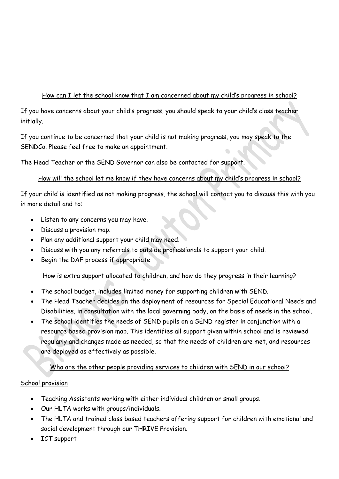# How can I let the school know that I am concerned about my child's progress in school?

If you have concerns about your child's progress, you should speak to your child's class teacher initially.

If you continue to be concerned that your child is not making progress, you may speak to the SENDCo. Please feel free to make an appointment.

The Head Teacher or the SEND Governor can also be contacted for support.

# How will the school let me know if they have concerns about my child's progress in school?

If your child is identified as not making progress, the school will contact you to discuss this with you in more detail and to:

- Listen to any concerns you may have.
- Discuss a provision map.
- Plan any additional support your child may need.
- Discuss with you any referrals to outside professionals to support your child.
- Begin the DAF process if appropriate

# How is extra support allocated to children, and how do they progress in their learning?

- The school budget, includes limited money for supporting children with SEND.
- The Head Teacher decides on the deployment of resources for Special Educational Needs and Disabilities, in consultation with the local governing body, on the basis of needs in the school.
- The school identifies the needs of SEND pupils on a SEND register in conjunction with a resource based provision map. This identifies all support given within school and is reviewed regularly and changes made as needed, so that the needs of children are met, and resources are deployed as effectively as possible.

# Who are the other people providing services to children with SEND in our school?

# School provision

- Teaching Assistants working with either individual children or small groups.
- Our HLTA works with groups/individuals.
- The HLTA and trained class based teachers offering support for children with emotional and social development through our THRIVE Provision.
- ICT support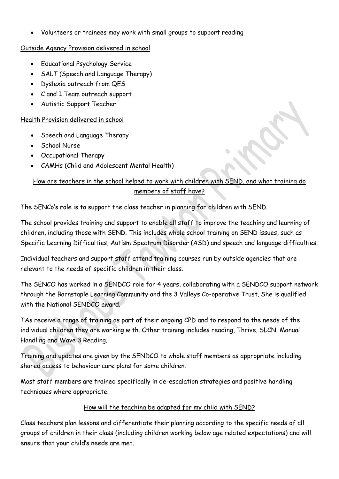Volunteers or trainees may work with small groups to support reading

## Outside Agency Provision delivered in school

- Educational Psychology Service
- SALT (Speech and Language Therapy)
- Dyslexia outreach from QES
- C and I Team outreach support
- Autistic Support Teacher

# Health Provision delivered in school

- Speech and Language Therapy
- School Nurse
- Occupational Therapy
- CAMHs (Child and Adolescent Mental Health)

# How are teachers in the school helped to work with children with SEND, and what training do members of staff have?

The SENCo's role is to support the class teacher in planning for children with SEND.

The school provides training and support to enable all staff to improve the teaching and learning of children, including those with SEND. This includes whole school training on SEND issues, such as Specific Learning Difficulties, Autism Spectrum Disorder (ASD) and speech and language difficulties.

Individual teachers and support staff attend training courses run by outside agencies that are relevant to the needs of specific children in their class.

The SENCO has worked in a SENDCO role for 4 years, collaborating with a SENDCO support network through the Barnstaple Learning Community and the 3 Valleys Co-operative Trust. She is qualified with the National SENDCO award.

TAs receive a range of training as part of their ongoing CPD and to respond to the needs of the individual children they are working with. Other training includes reading, Thrive, SLCN, Manual Handling and Wave 3 Reading.

Training and updates are given by the SENDCO to whole staff members as appropriate including shared access to behaviour care plans for some children.

Most staff members are trained specifically in de-escalation strategies and positive handling techniques where appropriate.

# How will the teaching be adapted for my child with SEND?

Class teachers plan lessons and differentiate their planning according to the specific needs of all groups of children in their class (including children working below age related expectations) and will ensure that your child's needs are met.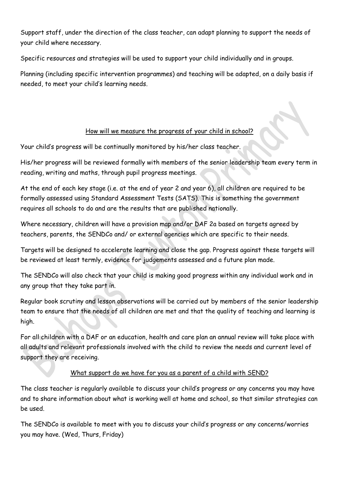Support staff, under the direction of the class teacher, can adapt planning to support the needs of your child where necessary.

Specific resources and strategies will be used to support your child individually and in groups.

Planning (including specific intervention programmes) and teaching will be adapted, on a daily basis if needed, to meet your child's learning needs.

# How will we measure the progress of your child in school?

Your child's progress will be continually monitored by his/her class teacher.

His/her progress will be reviewed formally with members of the senior leadership team every term in reading, writing and maths, through pupil progress meetings.

At the end of each key stage (i.e. at the end of year 2 and year 6), all children are required to be formally assessed using Standard Assessment Tests (SATS). This is something the government requires all schools to do and are the results that are published nationally.

Where necessary, children will have a provision map and/or DAF 2a based on targets agreed by teachers, parents, the SENDCo and/ or external agencies which are specific to their needs.

Targets will be designed to accelerate learning and close the gap. Progress against these targets will be reviewed at least termly, evidence for judgements assessed and a future plan made.

The SENDCo will also check that your child is making good progress within any individual work and in any group that they take part in.

Regular book scrutiny and lesson observations will be carried out by members of the senior leadership team to ensure that the needs of all children are met and that the quality of teaching and learning is high.

For all children with a DAF or an education, health and care plan an annual review will take place with all adults and relevant professionals involved with the child to review the needs and current level of support they are receiving.

# What support do we have for you as a parent of a child with SEND?

The class teacher is regularly available to discuss your child's progress or any concerns you may have and to share information about what is working well at home and school, so that similar strategies can be used.

The SENDCo is available to meet with you to discuss your child's progress or any concerns/worries you may have. (Wed, Thurs, Friday)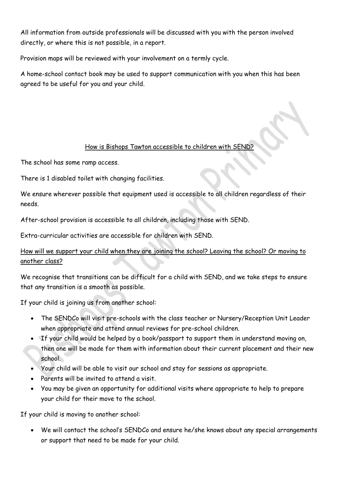All information from outside professionals will be discussed with you with the person involved directly, or where this is not possible, in a report.

Provision maps will be reviewed with your involvement on a termly cycle.

A home-school contact book may be used to support communication with you when this has been agreed to be useful for you and your child.

## How is Bishops Tawton accessible to children with SEND?

The school has some ramp access.

There is 1 disabled toilet with changing facilities.

We ensure wherever possible that equipment used is accessible to all children regardless of their needs.

After-school provision is accessible to all children, including those with SEND.

Extra-curricular activities are accessible for children with SEND.

How will we support your child when they are joining the school? Leaving the school? Or moving to another class?

We recognise that transitions can be difficult for a child with SEND, and we take steps to ensure that any transition is a smooth as possible.

If your child is joining us from another school:

- The SENDCo will visit pre-schools with the class teacher or Nursery/Reception Unit Leader when appropriate and attend annual reviews for pre-school children.
- If your child would be helped by a book/passport to support them in understand moving on, then one will be made for them with information about their current placement and their new school.
- Your child will be able to visit our school and stay for sessions as appropriate.
- Parents will be invited to attend a visit.
- You may be given an opportunity for additional visits where appropriate to help to prepare your child for their move to the school.

If your child is moving to another school:

 We will contact the school's SENDCo and ensure he/she knows about any special arrangements or support that need to be made for your child.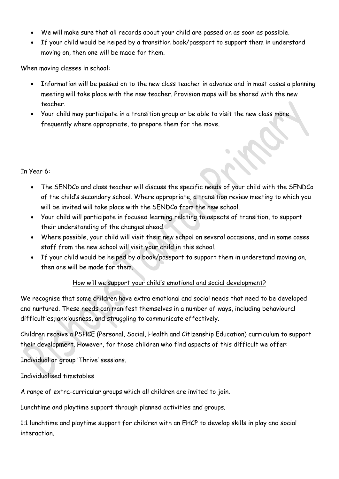- We will make sure that all records about your child are passed on as soon as possible.
- If your child would be helped by a transition book/passport to support them in understand moving on, then one will be made for them.

When moving classes in school:

- Information will be passed on to the new class teacher in advance and in most cases a planning meeting will take place with the new teacher. Provision maps will be shared with the new teacher.
- Your child may participate in a transition group or be able to visit the new class more frequently where appropriate, to prepare them for the move.

#### In Year 6:

- The SENDCo and class teacher will discuss the specific needs of your child with the SENDCo of the child's secondary school. Where appropriate, a transition review meeting to which you will be invited will take place with the SENDCo from the new school.
- Your child will participate in focused learning relating to aspects of transition, to support their understanding of the changes ahead.
- Where possible, your child will visit their new school on several occasions, and in some cases staff from the new school will visit your child in this school.
- If your child would be helped by a book/passport to support them in understand moving on, then one will be made for them.

#### How will we support your child's emotional and social development?

We recognise that some children have extra emotional and social needs that need to be developed and nurtured. These needs can manifest themselves in a number of ways, including behavioural difficulties, anxiousness, and struggling to communicate effectively.

Children receive a PSHCE (Personal, Social, Health and Citizenship Education) curriculum to support their development. However, for those children who find aspects of this difficult we offer:

Individual or group 'Thrive' sessions.

Individualised timetables

A range of extra-curricular groups which all children are invited to join.

Lunchtime and playtime support through planned activities and groups.

1:1 lunchtime and playtime support for children with an EHCP to develop skills in play and social interaction.